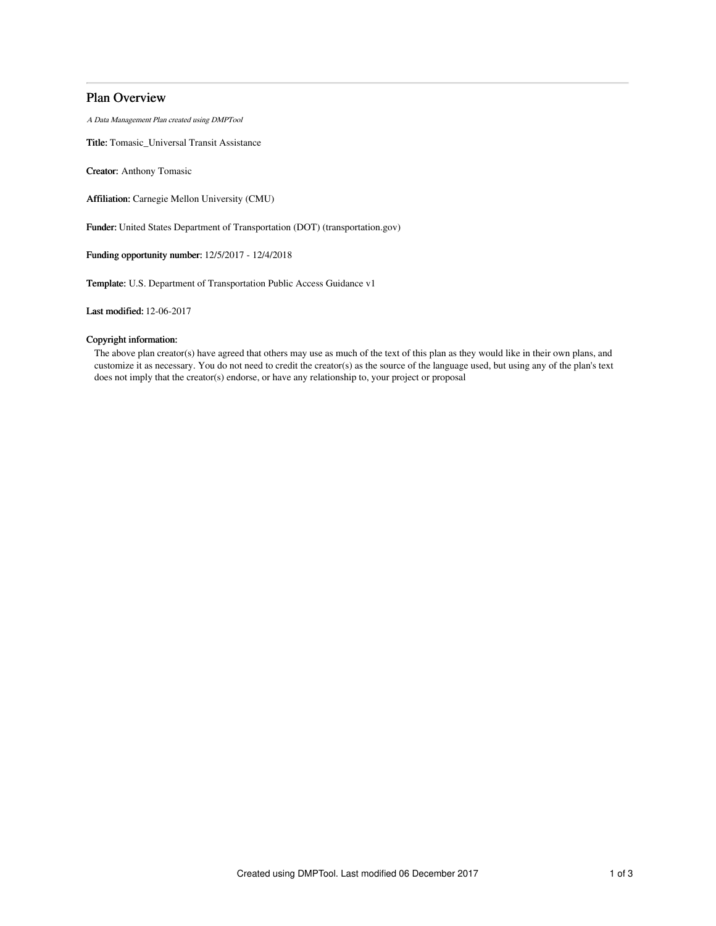# Plan Overview

A Data Management Plan created using DMPTool

Title: Tomasic\_Universal Transit Assistance

Creator: Anthony Tomasic

Affiliation: Carnegie Mellon University (CMU)

Funder: United States Department of Transportation (DOT) (transportation.gov)

Funding opportunity number: 12/5/2017 - 12/4/2018

Template: U.S. Department of Transportation Public Access Guidance v1

Last modified: 12-06-2017

# Copyright information:

The above plan creator(s) have agreed that others may use as much of the text of this plan as they would like in their own plans, and customize it as necessary. You do not need to credit the creator(s) as the source of the language used, but using any of the plan's text does not imply that the creator(s) endorse, or have any relationship to, your project or proposal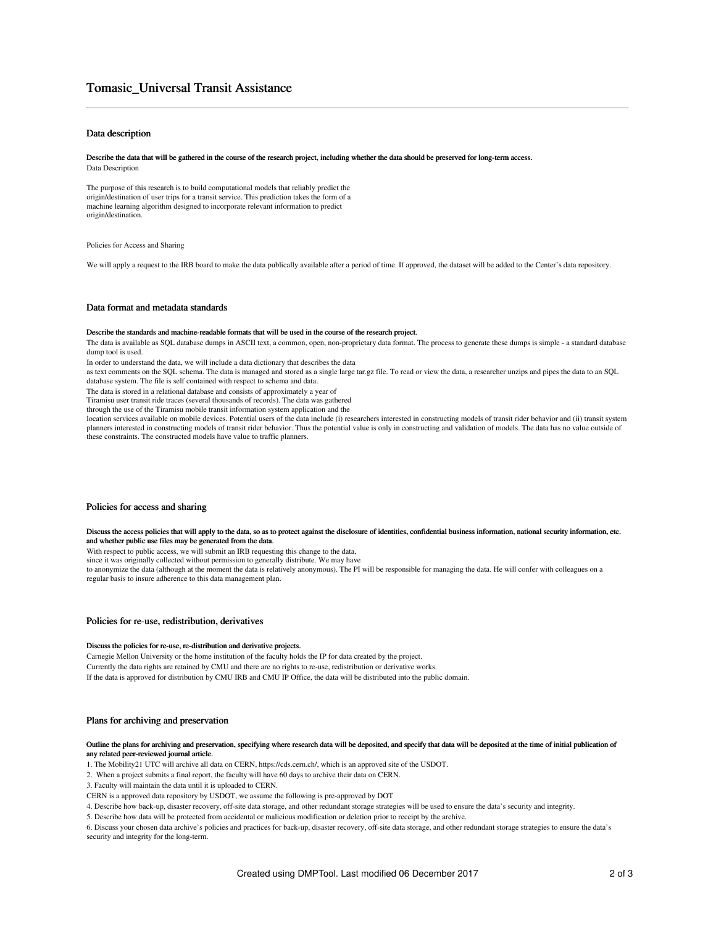# Tomasic\_Universal Transit Assistance

## Data description

#### Describe the data that will be gathered in the course of the research project, including whether the data should be preserved for long-term access. Data Description

The purpose of this research is to build computational models that reliably predict the origin/destination of user trips for a transit service. This prediction takes the form of a machine learning algorithm designed to incorporate relevant information to predict origin/destination.

Policies for Access and Sharing

We will apply a request to the IRB board to make the data publically available after a period of time. If approved, the dataset will be added to the Center's data repository.

## Data format and metadata standards

#### Describe the standards and machine-readable formats that will be used in the course of the research project.

The data is available as SQL database dumps in ASCII text, a common, open, non-proprietary data format. The process to generate these dumps is simple - a standard database dump tool is used.

In order to understand the data, we will include a data dictionary that describes the data

as text comments on the SQL schema. The data is managed and stored as a single large tar.gz file. To read or view the data, a researcher unzips and pipes the data to an SQL database system. The file is self contained with respect to schema and data.

The data is stored in a relational database and consists of approximately a year of

Tiramisu user transit ride traces (several thousands of records). The data was gathered

through the use of the Tiramisu mobile transit information system application and the

location services available on mobile devices. Potential users of the data include (i) researchers interested in constructing models of transit rider behavior and (ii) transit system planners interested in constructing models of transit rider behavior. Thus the potential value is only in constructing and validation of models. The data has no value outside of these constraints. The constructed models have value to traffic planners.

## Policies for access and sharing

#### Discuss the access policies that will apply to the data, so as to protect against the disclosure of identities, confidential business information, national security information, etc. and whether public use files may be generated from the data.

With respect to public access, we will submit an IRB requesting this change to the data,

since it was originally collected without permission to generally distribute. We may have

to anonymize the data (although at the moment the data is relatively anonymous). The PI will be responsible for managing the data. He will confer with colleagues on a regular basis to insure adherence to this data management plan.

## Policies for re-use, redistribution, derivatives

#### Discuss the policies for re-use, re-distribution and derivative projects.

Carnegie Mellon University or the home institution of the faculty holds the IP for data created by the project. Currently the data rights are retained by CMU and there are no rights to re-use, redistribution or derivative works. If the data is approved for distribution by CMU IRB and CMU IP Office, the data will be distributed into the public domain.

## Plans for archiving and preservation

## Outline the plans for archiving and preservation, specifying where research data will be deposited, and specify that data will be deposited at the time of initial publication of any related peer-reviewed journal article.

1. The Mobility21 UTC will archive all data on CERN, https://cds.cern.ch/, which is an approved site of the USDOT.

2. When a project submits a final report, the faculty will have 60 days to archive their data on CERN.

3. Faculty will maintain the data until it is uploaded to CERN.

CERN is a approved data repository by USDOT, we assume the following is pre-approved by DOT

4. Describe how back-up, disaster recovery, off-site data storage, and other redundant storage strategies will be used to ensure the data's security and integrity.

5. Describe how data will be protected from accidental or malicious modification or deletion prior to receipt by the archive.

6. Discuss your chosen data archive's policies and practices for back-up, disaster recovery, off-site data storage, and other redundant storage strategies to ensure the data's security and integrity for the long-term.